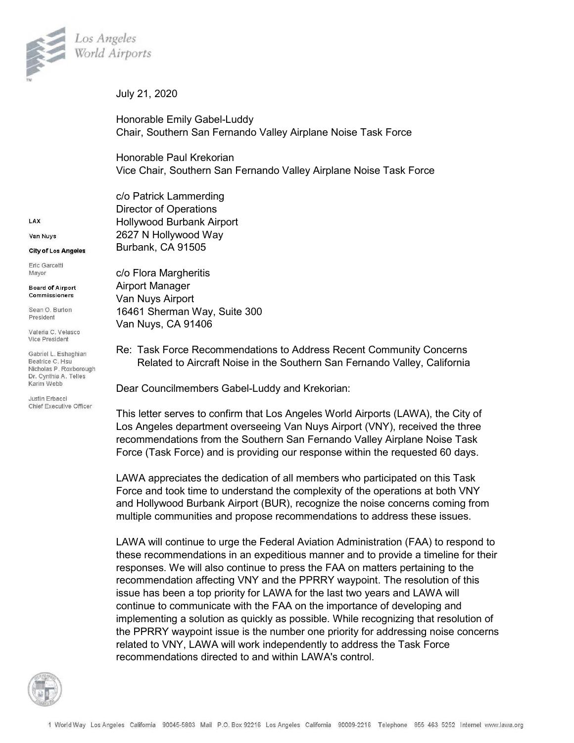

July 21, 2020

Honorable Emily Gabel-Luddy Chair, Southern San Fernando Valley Airplane Noise Task Force

Honorable Paul Krekorian Vice Chair, Southern San Fernando Valley Airplane Noise Task Force

c/o Patrick Lammerding Director of Operations Hollywood Burbank Airport 2627 N Hollywood Way Burbank, CA 91505

c/o Flora Margheritis Airport Manager Van Nuys Airport 16461 Sherman Way, Suite 300 Van Nuys, CA 91406

Re: Task Force Recommendations to Address Recent Community Concerns Related to Aircraft Noise in the Southern San Fernando Valley, California

Dear Councilmembers Gabel-Luddy and Krekorian:

This letter serves to confirm that Los Angeles World Airports (LAWA), the City of Los Angeles department overseeing Van Nuys Airport (VNY), received the three recommendations from the Southern San Fernando Valley Airplane Noise Task Force (Task Force) and is providing our response within the requested 60 days.

LAWA appreciates the dedication of all members who participated on this Task Force and took time to understand the complexity of the operations at both VNY and Hollywood Burbank Airport (BUR), recognize the noise concerns coming from multiple communities and propose recommendations to address these issues.

LAWA will continue to urge the Federal Aviation Administration (FAA) to respond to these recommendations in an expeditious manner and to provide a timeline for their responses. We will also continue to press the FAA on matters pertaining to the recommendation affecting VNY and the PPRRY waypoint. The resolution of this issue has been a top priority for LAWA for the last two years and LAWA will continue to communicate with the FAA on the importance of developing and implementing a solution as quickly as possible. While recognizing that resolution of the PPRRY waypoint issue is the number one priority for addressing noise concerns related to VNY, LAWA will work independently to address the Task Force recommendations directed to and within LAWA's control.



LAX

Van Nuvs

City of Los Angeles

Eric Garcetti Mayor

**Board of Airport** Commissioners

Sean O. Burton President

Valeria C. Velasco Vice President

Gabriel L. Eshaghian Beatrice C. Hsu Nicholas P. Roxborough Dr. Cynthia A. Telles Karim Webb

Justin Erbacci Chief Executive Officer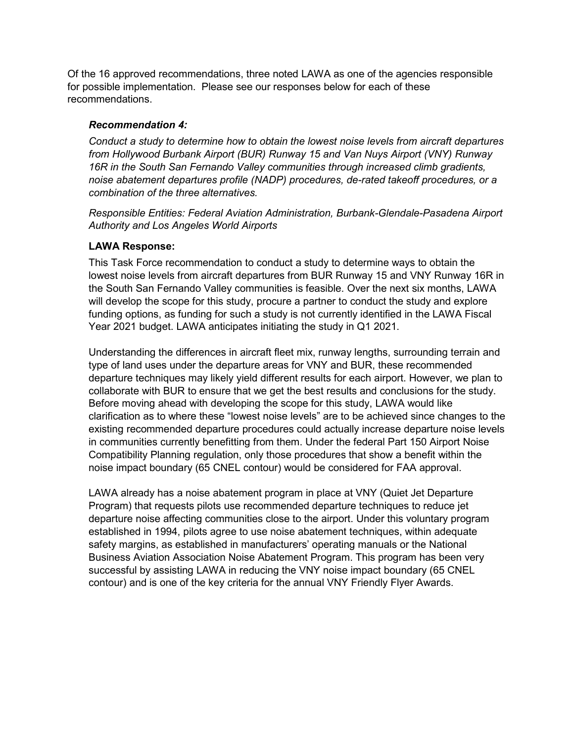Of the 16 approved recommendations, three noted LAWA as one of the agencies responsible for possible implementation. Please see our responses below for each of these recommendations.

# *Recommendation 4:*

*Conduct a study to determine how to obtain the lowest noise levels from aircraft departures from Hollywood Burbank Airport (BUR) Runway 15 and Van Nuys Airport (VNY) Runway 16R in the South San Fernando Valley communities through increased climb gradients, noise abatement departures profile (NADP) procedures, de-rated takeoff procedures, or a combination of the three alternatives.*

*Responsible Entities: Federal Aviation Administration, Burbank-Glendale-Pasadena Airport Authority and Los Angeles World Airports*

# **LAWA Response:**

This Task Force recommendation to conduct a study to determine ways to obtain the lowest noise levels from aircraft departures from BUR Runway 15 and VNY Runway 16R in the South San Fernando Valley communities is feasible. Over the next six months, LAWA will develop the scope for this study, procure a partner to conduct the study and explore funding options, as funding for such a study is not currently identified in the LAWA Fiscal Year 2021 budget. LAWA anticipates initiating the study in Q1 2021.

Understanding the differences in aircraft fleet mix, runway lengths, surrounding terrain and type of land uses under the departure areas for VNY and BUR, these recommended departure techniques may likely yield different results for each airport. However, we plan to collaborate with BUR to ensure that we get the best results and conclusions for the study. Before moving ahead with developing the scope for this study, LAWA would like clarification as to where these "lowest noise levels" are to be achieved since changes to the existing recommended departure procedures could actually increase departure noise levels in communities currently benefitting from them. Under the federal Part 150 Airport Noise Compatibility Planning regulation, only those procedures that show a benefit within the noise impact boundary (65 CNEL contour) would be considered for FAA approval.

LAWA already has a noise abatement program in place at VNY (Quiet Jet Departure Program) that requests pilots use recommended departure techniques to reduce jet departure noise affecting communities close to the airport. Under this voluntary program established in 1994, pilots agree to use noise abatement techniques, within adequate safety margins, as established in manufacturers' operating manuals or the National Business Aviation Association Noise Abatement Program. This program has been very successful by assisting LAWA in reducing the VNY noise impact boundary (65 CNEL contour) and is one of the key criteria for the annual VNY Friendly Flyer Awards.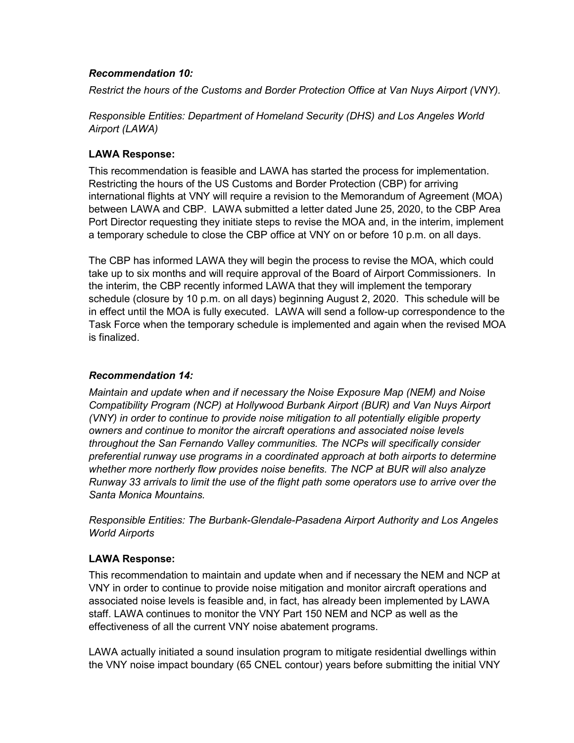## *Recommendation 10:*

*Restrict the hours of the Customs and Border Protection Office at Van Nuys Airport (VNY).*

*Responsible Entities: Department of Homeland Security (DHS) and Los Angeles World Airport (LAWA)*

# **LAWA Response:**

This recommendation is feasible and LAWA has started the process for implementation. Restricting the hours of the US Customs and Border Protection (CBP) for arriving international flights at VNY will require a revision to the Memorandum of Agreement (MOA) between LAWA and CBP. LAWA submitted a letter dated June 25, 2020, to the CBP Area Port Director requesting they initiate steps to revise the MOA and, in the interim, implement a temporary schedule to close the CBP office at VNY on or before 10 p.m. on all days.

The CBP has informed LAWA they will begin the process to revise the MOA, which could take up to six months and will require approval of the Board of Airport Commissioners. In the interim, the CBP recently informed LAWA that they will implement the temporary schedule (closure by 10 p.m. on all days) beginning August 2, 2020. This schedule will be in effect until the MOA is fully executed. LAWA will send a follow-up correspondence to the Task Force when the temporary schedule is implemented and again when the revised MOA is finalized.

## *Recommendation 14:*

*Maintain and update when and if necessary the Noise Exposure Map (NEM) and Noise Compatibility Program (NCP) at Hollywood Burbank Airport (BUR) and Van Nuys Airport (VNY) in order to continue to provide noise mitigation to all potentially eligible property owners and continue to monitor the aircraft operations and associated noise levels throughout the San Fernando Valley communities. The NCPs will specifically consider preferential runway use programs in a coordinated approach at both airports to determine whether more northerly flow provides noise benefits. The NCP at BUR will also analyze Runway 33 arrivals to limit the use of the flight path some operators use to arrive over the Santa Monica Mountains.*

*Responsible Entities: The Burbank-Glendale-Pasadena Airport Authority and Los Angeles World Airports*

## **LAWA Response:**

This recommendation to maintain and update when and if necessary the NEM and NCP at VNY in order to continue to provide noise mitigation and monitor aircraft operations and associated noise levels is feasible and, in fact, has already been implemented by LAWA staff. LAWA continues to monitor the VNY Part 150 NEM and NCP as well as the effectiveness of all the current VNY noise abatement programs.

LAWA actually initiated a sound insulation program to mitigate residential dwellings within the VNY noise impact boundary (65 CNEL contour) years before submitting the initial VNY